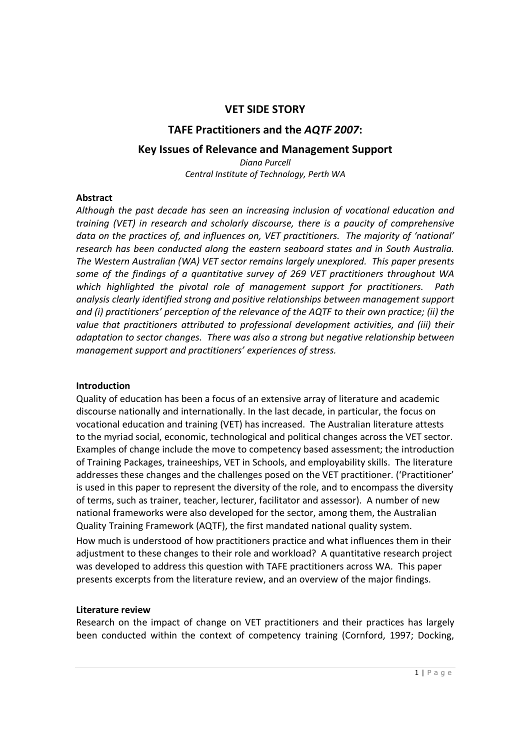## VET SIDE STORY

# TAFE Practitioners and the AQTF 2007:

### Key Issues of Relevance and Management Support

Diana Purcell Central Institute of Technology, Perth WA

### Abstract

Although the past decade has seen an increasing inclusion of vocational education and training (VET) in research and scholarly discourse, there is a paucity of comprehensive data on the practices of, and influences on, VET practitioners. The majority of 'national' research has been conducted along the eastern seaboard states and in South Australia. The Western Australian (WA) VET sector remains largely unexplored. This paper presents some of the findings of a quantitative survey of 269 VET practitioners throughout WA which highlighted the pivotal role of management support for practitioners. Path analysis clearly identified strong and positive relationships between management support and (i) practitioners' perception of the relevance of the AQTF to their own practice; (ii) the value that practitioners attributed to professional development activities, and (iii) their adaptation to sector changes. There was also a strong but negative relationship between management support and practitioners' experiences of stress.

#### Introduction

Quality of education has been a focus of an extensive array of literature and academic discourse nationally and internationally. In the last decade, in particular, the focus on vocational education and training (VET) has increased. The Australian literature attests to the myriad social, economic, technological and political changes across the VET sector. Examples of change include the move to competency based assessment; the introduction of Training Packages, traineeships, VET in Schools, and employability skills. The literature addresses these changes and the challenges posed on the VET practitioner. ('Practitioner' is used in this paper to represent the diversity of the role, and to encompass the diversity of terms, such as trainer, teacher, lecturer, facilitator and assessor). A number of new national frameworks were also developed for the sector, among them, the Australian Quality Training Framework (AQTF), the first mandated national quality system.

How much is understood of how practitioners practice and what influences them in their adjustment to these changes to their role and workload? A quantitative research project was developed to address this question with TAFE practitioners across WA. This paper presents excerpts from the literature review, and an overview of the major findings.

### Literature review

Research on the impact of change on VET practitioners and their practices has largely been conducted within the context of competency training (Cornford, 1997; Docking,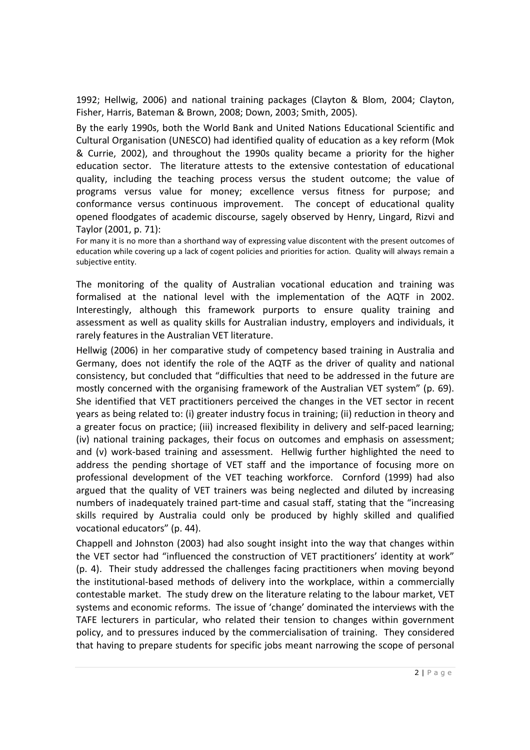1992; Hellwig, 2006) and national training packages (Clayton & Blom, 2004; Clayton, Fisher, Harris, Bateman & Brown, 2008; Down, 2003; Smith, 2005).

By the early 1990s, both the World Bank and United Nations Educational Scientific and Cultural Organisation (UNESCO) had identified quality of education as a key reform (Mok & Currie, 2002), and throughout the 1990s quality became a priority for the higher education sector. The literature attests to the extensive contestation of educational quality, including the teaching process versus the student outcome; the value of programs versus value for money; excellence versus fitness for purpose; and conformance versus continuous improvement. The concept of educational quality opened floodgates of academic discourse, sagely observed by Henry, Lingard, Rizvi and Taylor (2001, p. 71):

For many it is no more than a shorthand way of expressing value discontent with the present outcomes of education while covering up a lack of cogent policies and priorities for action. Quality will always remain a subjective entity.

The monitoring of the quality of Australian vocational education and training was formalised at the national level with the implementation of the AQTF in 2002. Interestingly, although this framework purports to ensure quality training and assessment as well as quality skills for Australian industry, employers and individuals, it rarely features in the Australian VET literature.

Hellwig (2006) in her comparative study of competency based training in Australia and Germany, does not identify the role of the AQTF as the driver of quality and national consistency, but concluded that "difficulties that need to be addressed in the future are mostly concerned with the organising framework of the Australian VET system" (p. 69). She identified that VET practitioners perceived the changes in the VET sector in recent years as being related to: (i) greater industry focus in training; (ii) reduction in theory and a greater focus on practice; (iii) increased flexibility in delivery and self-paced learning; (iv) national training packages, their focus on outcomes and emphasis on assessment; and (v) work-based training and assessment. Hellwig further highlighted the need to address the pending shortage of VET staff and the importance of focusing more on professional development of the VET teaching workforce. Cornford (1999) had also argued that the quality of VET trainers was being neglected and diluted by increasing numbers of inadequately trained part-time and casual staff, stating that the "increasing skills required by Australia could only be produced by highly skilled and qualified vocational educators" (p. 44).

Chappell and Johnston (2003) had also sought insight into the way that changes within the VET sector had "influenced the construction of VET practitioners' identity at work" (p. 4). Their study addressed the challenges facing practitioners when moving beyond the institutional-based methods of delivery into the workplace, within a commercially contestable market. The study drew on the literature relating to the labour market, VET systems and economic reforms. The issue of 'change' dominated the interviews with the TAFE lecturers in particular, who related their tension to changes within government policy, and to pressures induced by the commercialisation of training. They considered that having to prepare students for specific jobs meant narrowing the scope of personal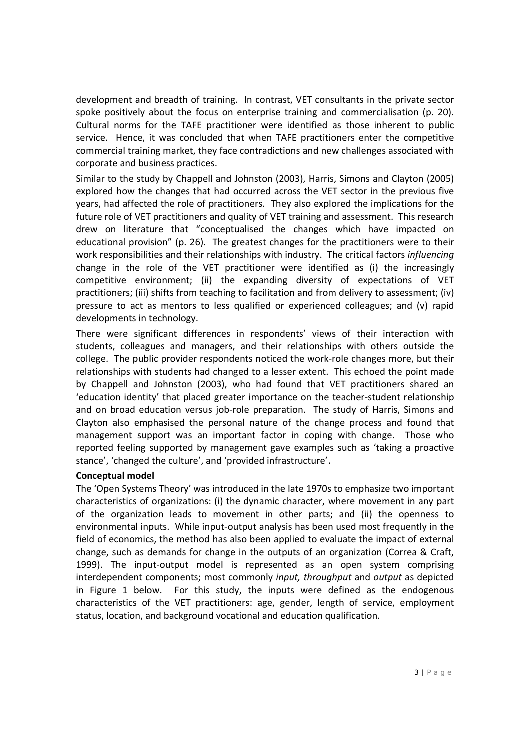development and breadth of training. In contrast, VET consultants in the private sector spoke positively about the focus on enterprise training and commercialisation (p. 20). Cultural norms for the TAFE practitioner were identified as those inherent to public service. Hence, it was concluded that when TAFE practitioners enter the competitive commercial training market, they face contradictions and new challenges associated with corporate and business practices.

Similar to the study by Chappell and Johnston (2003), Harris, Simons and Clayton (2005) explored how the changes that had occurred across the VET sector in the previous five years, had affected the role of practitioners. They also explored the implications for the future role of VET practitioners and quality of VET training and assessment. This research drew on literature that "conceptualised the changes which have impacted on educational provision" (p. 26). The greatest changes for the practitioners were to their work responsibilities and their relationships with industry. The critical factors *influencing* change in the role of the VET practitioner were identified as (i) the increasingly competitive environment; (ii) the expanding diversity of expectations of VET practitioners; (iii) shifts from teaching to facilitation and from delivery to assessment; (iv) pressure to act as mentors to less qualified or experienced colleagues; and (v) rapid developments in technology.

There were significant differences in respondents' views of their interaction with students, colleagues and managers, and their relationships with others outside the college. The public provider respondents noticed the work-role changes more, but their relationships with students had changed to a lesser extent. This echoed the point made by Chappell and Johnston (2003), who had found that VET practitioners shared an 'education identity' that placed greater importance on the teacher-student relationship and on broad education versus job-role preparation. The study of Harris, Simons and Clayton also emphasised the personal nature of the change process and found that management support was an important factor in coping with change. Those who reported feeling supported by management gave examples such as 'taking a proactive stance', 'changed the culture', and 'provided infrastructure'.

### Conceptual model

The 'Open Systems Theory' was introduced in the late 1970s to emphasize two important characteristics of organizations: (i) the dynamic character, where movement in any part of the organization leads to movement in other parts; and (ii) the openness to environmental inputs. While input-output analysis has been used most frequently in the field of economics, the method has also been applied to evaluate the impact of external change, such as demands for change in the outputs of an organization (Correa & Craft, 1999). The input-output model is represented as an open system comprising interdependent components; most commonly input, throughput and output as depicted in Figure 1 below. For this study, the inputs were defined as the endogenous characteristics of the VET practitioners: age, gender, length of service, employment status, location, and background vocational and education qualification.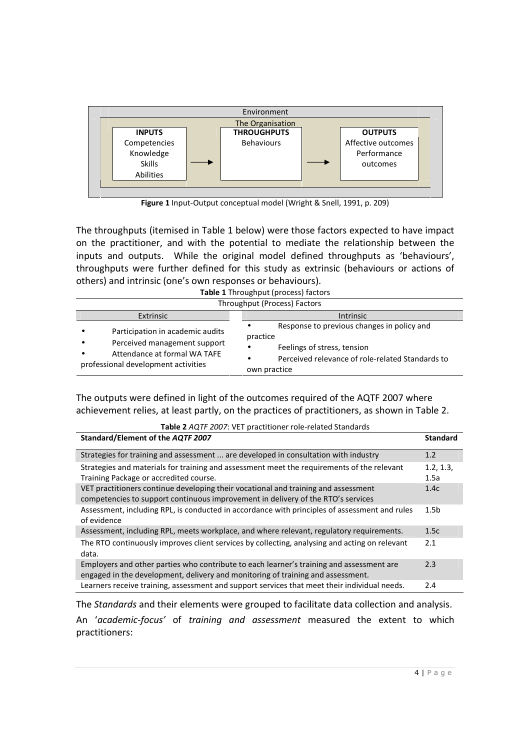

Figure 1 Input-Output conceptual model (Wright & Snell, 1991, p. 209)

The throughputs (itemised in Table 1 below) were those factors expected to have impact on the practitioner, and with the potential to mediate the relationship between the inputs and outputs. While the original model defined throughputs as 'behaviours', throughputs were further defined for this study as extrinsic (behaviours or actions of others) and intrinsic (one's own responses or behaviours).

| Table 1 Throughput (process) factors                                                                                                    |                                                                                                                                                           |  |  |  |  |
|-----------------------------------------------------------------------------------------------------------------------------------------|-----------------------------------------------------------------------------------------------------------------------------------------------------------|--|--|--|--|
| Throughput (Process) Factors                                                                                                            |                                                                                                                                                           |  |  |  |  |
| Extrinsic                                                                                                                               | <b>Intrinsic</b>                                                                                                                                          |  |  |  |  |
| Participation in academic audits<br>Perceived management support<br>Attendance at formal WA TAFE<br>professional development activities | Response to previous changes in policy and<br>practice<br>Feelings of stress, tension<br>Perceived relevance of role-related Standards to<br>own practice |  |  |  |  |

The outputs were defined in light of the outcomes required of the AQTF 2007 where achievement relies, at least partly, on the practices of practitioners, as shown in Table 2.

| Table 2 AQTF 2007: VET practitioner role-related Standards                                                                                                                  |                   |  |  |  |
|-----------------------------------------------------------------------------------------------------------------------------------------------------------------------------|-------------------|--|--|--|
| Standard/Element of the AQTF 2007                                                                                                                                           | <b>Standard</b>   |  |  |  |
| Strategies for training and assessment  are developed in consultation with industry                                                                                         | 1.2               |  |  |  |
| Strategies and materials for training and assessment meet the requirements of the relevant<br>Training Package or accredited course.                                        | 1.2, 1.3,<br>1.5a |  |  |  |
| VET practitioners continue developing their vocational and training and assessment<br>competencies to support continuous improvement in delivery of the RTO's services      | 1.4c              |  |  |  |
| Assessment, including RPL, is conducted in accordance with principles of assessment and rules<br>of evidence                                                                | 1.5 <sub>b</sub>  |  |  |  |
| Assessment, including RPL, meets workplace, and where relevant, regulatory requirements.                                                                                    | 1.5c              |  |  |  |
| The RTO continuously improves client services by collecting, analysing and acting on relevant<br>data.                                                                      | 2.1               |  |  |  |
| Employers and other parties who contribute to each learner's training and assessment are<br>engaged in the development, delivery and monitoring of training and assessment. | 2.3               |  |  |  |
| Learners receive training, assessment and support services that meet their individual needs.                                                                                | 2.4               |  |  |  |

The Standards and their elements were grouped to facilitate data collection and analysis.

An 'academic-focus' of training and assessment measured the extent to which practitioners: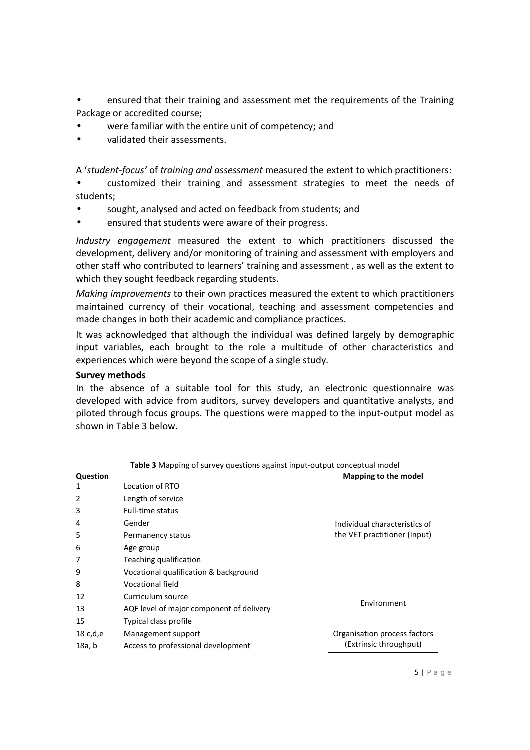• ensured that their training and assessment met the requirements of the Training Package or accredited course;

- were familiar with the entire unit of competency; and
- validated their assessments.

A 'student-focus' of training and assessment measured the extent to which practitioners:

• customized their training and assessment strategies to meet the needs of students;

- sought, analysed and acted on feedback from students; and
- ensured that students were aware of their progress.

Industry engagement measured the extent to which practitioners discussed the development, delivery and/or monitoring of training and assessment with employers and other staff who contributed to learners' training and assessment , as well as the extent to which they sought feedback regarding students.

Making improvements to their own practices measured the extent to which practitioners maintained currency of their vocational, teaching and assessment competencies and made changes in both their academic and compliance practices.

It was acknowledged that although the individual was defined largely by demographic input variables, each brought to the role a multitude of other characteristics and experiences which were beyond the scope of a single study.

### Survey methods

In the absence of a suitable tool for this study, an electronic questionnaire was developed with advice from auditors, survey developers and quantitative analysts, and piloted through focus groups. The questions were mapped to the input-output model as shown in Table 3 below.

| Question |                                          | Mapping to the model          |
|----------|------------------------------------------|-------------------------------|
| 1        | Location of RTO                          |                               |
|          | Length of service                        |                               |
| 3        | <b>Full-time status</b>                  |                               |
| 4        | Gender                                   | Individual characteristics of |
| 5        | Permanency status                        | the VET practitioner (Input)  |
| 6        | Age group                                |                               |
|          | Teaching qualification                   |                               |
| 9        | Vocational qualification & background    |                               |
| 8        | <b>Vocational field</b>                  |                               |
| 12       | Curriculum source                        |                               |
| 13       | AQF level of major component of delivery | Environment                   |
| 15       | Typical class profile                    |                               |
| 18 c,d,e | Management support                       | Organisation process factors  |
| 18a, b   | Access to professional development       | (Extrinsic throughput)        |
|          |                                          |                               |

Table 3 Mapping of survey questions against input-output conceptual model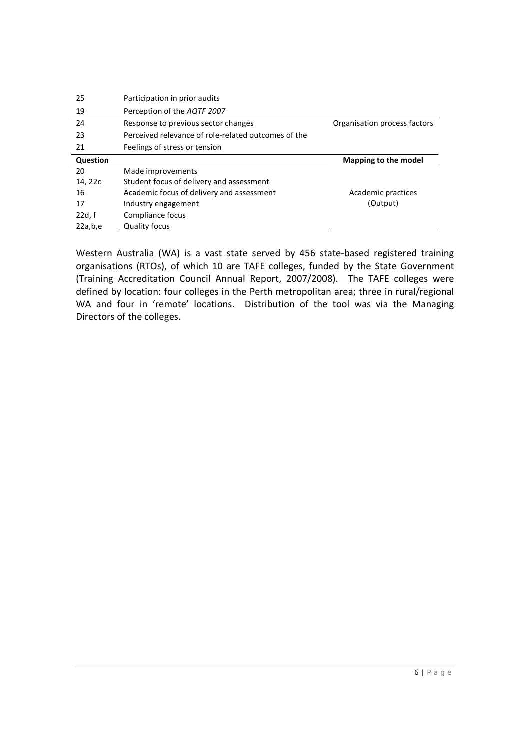| Perception of the AQTF 2007<br>19<br>24<br>Organisation process factors<br>Response to previous sector changes<br>Perceived relevance of role-related outcomes of the<br>23<br>21<br>Feelings of stress or tension<br>Question<br>Mapping to the model<br>20<br>Made improvements<br>Student focus of delivery and assessment<br>14, 22c<br>Academic focus of delivery and assessment<br>Academic practices<br>16<br>(Output)<br>Industry engagement<br>17<br>22d, f<br>Compliance focus | 25      | Participation in prior audits |  |
|------------------------------------------------------------------------------------------------------------------------------------------------------------------------------------------------------------------------------------------------------------------------------------------------------------------------------------------------------------------------------------------------------------------------------------------------------------------------------------------|---------|-------------------------------|--|
|                                                                                                                                                                                                                                                                                                                                                                                                                                                                                          |         |                               |  |
|                                                                                                                                                                                                                                                                                                                                                                                                                                                                                          |         |                               |  |
|                                                                                                                                                                                                                                                                                                                                                                                                                                                                                          |         |                               |  |
|                                                                                                                                                                                                                                                                                                                                                                                                                                                                                          |         |                               |  |
|                                                                                                                                                                                                                                                                                                                                                                                                                                                                                          |         |                               |  |
|                                                                                                                                                                                                                                                                                                                                                                                                                                                                                          |         |                               |  |
|                                                                                                                                                                                                                                                                                                                                                                                                                                                                                          |         |                               |  |
|                                                                                                                                                                                                                                                                                                                                                                                                                                                                                          |         |                               |  |
|                                                                                                                                                                                                                                                                                                                                                                                                                                                                                          |         |                               |  |
|                                                                                                                                                                                                                                                                                                                                                                                                                                                                                          |         |                               |  |
|                                                                                                                                                                                                                                                                                                                                                                                                                                                                                          | 22a,b,e | Quality focus                 |  |

Western Australia (WA) is a vast state served by 456 state-based registered training organisations (RTOs), of which 10 are TAFE colleges, funded by the State Government (Training Accreditation Council Annual Report, 2007/2008). The TAFE colleges were defined by location: four colleges in the Perth metropolitan area; three in rural/regional WA and four in 'remote' locations. Distribution of the tool was via the Managing Directors of the colleges.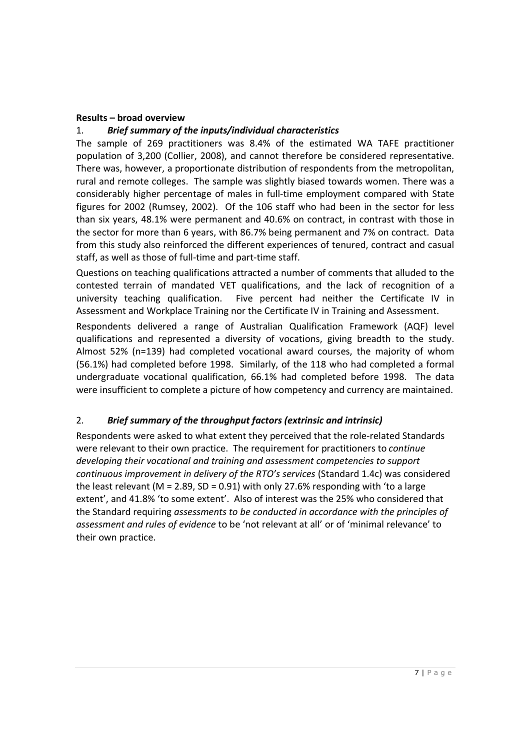### Results – broad overview

## 1. Brief summary of the inputs/individual characteristics

The sample of 269 practitioners was 8.4% of the estimated WA TAFE practitioner population of 3,200 (Collier, 2008), and cannot therefore be considered representative. There was, however, a proportionate distribution of respondents from the metropolitan, rural and remote colleges. The sample was slightly biased towards women. There was a considerably higher percentage of males in full-time employment compared with State figures for 2002 (Rumsey, 2002). Of the 106 staff who had been in the sector for less than six years, 48.1% were permanent and 40.6% on contract, in contrast with those in the sector for more than 6 years, with 86.7% being permanent and 7% on contract. Data from this study also reinforced the different experiences of tenured, contract and casual staff, as well as those of full-time and part-time staff.

Questions on teaching qualifications attracted a number of comments that alluded to the contested terrain of mandated VET qualifications, and the lack of recognition of a university teaching qualification. Five percent had neither the Certificate IV in Assessment and Workplace Training nor the Certificate IV in Training and Assessment.

Respondents delivered a range of Australian Qualification Framework (AQF) level qualifications and represented a diversity of vocations, giving breadth to the study. Almost 52% (n=139) had completed vocational award courses, the majority of whom (56.1%) had completed before 1998. Similarly, of the 118 who had completed a formal undergraduate vocational qualification, 66.1% had completed before 1998. The data were insufficient to complete a picture of how competency and currency are maintained.

# 2. Brief summary of the throughput factors (extrinsic and intrinsic)

Respondents were asked to what extent they perceived that the role-related Standards were relevant to their own practice. The requirement for practitioners to *continue* developing their vocational and training and assessment competencies to support continuous improvement in delivery of the RTO's services (Standard 1.4c) was considered the least relevant ( $M = 2.89$ , SD = 0.91) with only 27.6% responding with 'to a large extent', and 41.8% 'to some extent'. Also of interest was the 25% who considered that the Standard requiring assessments to be conducted in accordance with the principles of assessment and rules of evidence to be 'not relevant at all' or of 'minimal relevance' to their own practice.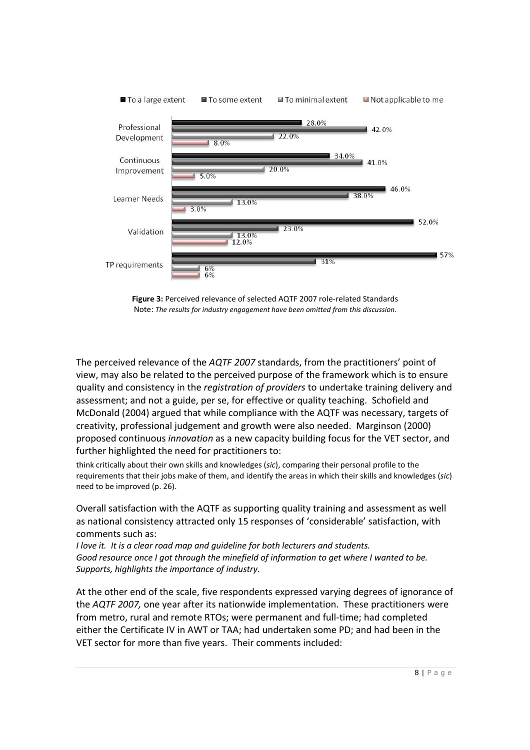

Figure 3: Perceived relevance of selected AQTF 2007 role-related Standards Note: The results for industry engagement have been omitted from this discussion.

The perceived relevance of the AQTF 2007 standards, from the practitioners' point of view, may also be related to the perceived purpose of the framework which is to ensure quality and consistency in the *registration of providers* to undertake training delivery and assessment; and not a guide, per se, for effective or quality teaching. Schofield and McDonald (2004) argued that while compliance with the AQTF was necessary, targets of creativity, professional judgement and growth were also needed. Marginson (2000) proposed continuous innovation as a new capacity building focus for the VET sector, and further highlighted the need for practitioners to:

think critically about their own skills and knowledges (sic), comparing their personal profile to the requirements that their jobs make of them, and identify the areas in which their skills and knowledges (sic) need to be improved (p. 26).

Overall satisfaction with the AQTF as supporting quality training and assessment as well as national consistency attracted only 15 responses of 'considerable' satisfaction, with comments such as:

I love it. It is a clear road map and guideline for both lecturers and students. Good resource once I got through the minefield of information to get where I wanted to be. Supports, highlights the importance of industry.

At the other end of the scale, five respondents expressed varying degrees of ignorance of the AQTF 2007, one year after its nationwide implementation. These practitioners were from metro, rural and remote RTOs; were permanent and full-time; had completed either the Certificate IV in AWT or TAA; had undertaken some PD; and had been in the VET sector for more than five years. Their comments included: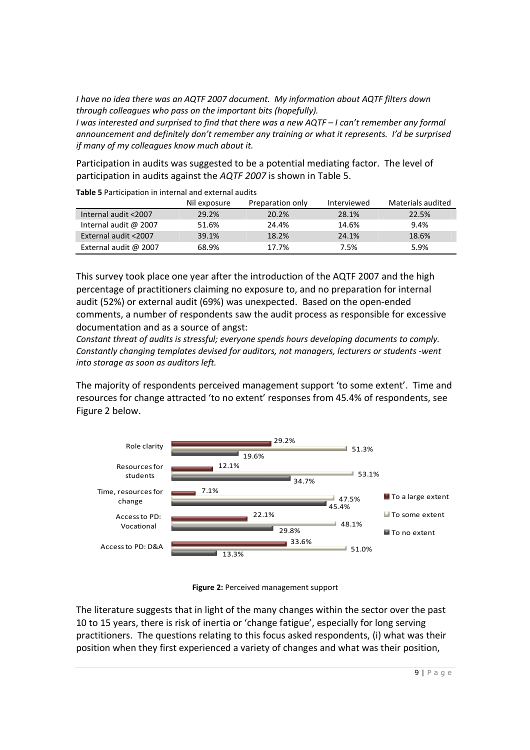I have no idea there was an AQTF 2007 document. My information about AQTF filters down through colleagues who pass on the important bits (hopefully).

I was interested and surprised to find that there was a new AQTF – I can't remember any formal announcement and definitely don't remember any training or what it represents. I'd be surprised if many of my colleagues know much about it.

Participation in audits was suggested to be a potential mediating factor. The level of participation in audits against the AQTF 2007 is shown in Table 5.

|                       | Nil exposure | Preparation only | Interviewed | Materials audited |
|-----------------------|--------------|------------------|-------------|-------------------|
| Internal audit <2007  | 29.2%        | 20.2%            | 28.1%       | 22.5%             |
| Internal audit @ 2007 | 51.6%        | 24.4%            | 14.6%       | 9.4%              |
| External audit <2007  | 39.1%        | 18.2%            | 24.1%       | 18.6%             |
| External audit @ 2007 | 68.9%        | 17.7%            | 7.5%        | 5.9%              |

Table 5 Participation in internal and external audits

This survey took place one year after the introduction of the AQTF 2007 and the high percentage of practitioners claiming no exposure to, and no preparation for internal audit (52%) or external audit (69%) was unexpected. Based on the open-ended comments, a number of respondents saw the audit process as responsible for excessive documentation and as a source of angst:

Constant threat of audits is stressful; everyone spends hours developing documents to comply. Constantly changing templates devised for auditors, not managers, lecturers or students -went into storage as soon as auditors left.

The majority of respondents perceived management support 'to some extent'. Time and resources for change attracted 'to no extent' responses from 45.4% of respondents, see Figure 2 below.



Figure 2: Perceived management support

The literature suggests that in light of the many changes within the sector over the past 10 to 15 years, there is risk of inertia or 'change fatigue', especially for long serving practitioners. The questions relating to this focus asked respondents, (i) what was their position when they first experienced a variety of changes and what was their position,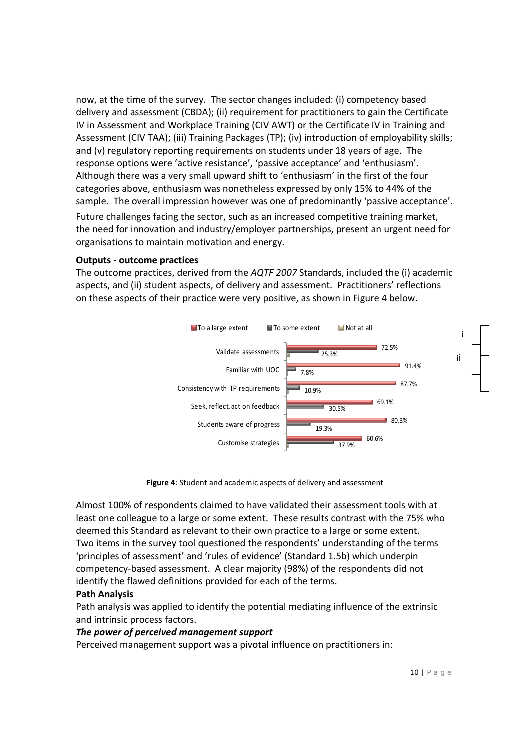now, at the time of the survey. The sector changes included: (i) competency based delivery and assessment (CBDA); (ii) requirement for practitioners to gain the Certificate IV in Assessment and Workplace Training (CIV AWT) or the Certificate IV in Training and Assessment (CIV TAA); (iii) Training Packages (TP); (iv) introduction of employability skills; and (v) regulatory reporting requirements on students under 18 years of age. The response options were 'active resistance', 'passive acceptance' and 'enthusiasm'. Although there was a very small upward shift to 'enthusiasm' in the first of the four categories above, enthusiasm was nonetheless expressed by only 15% to 44% of the sample. The overall impression however was one of predominantly 'passive acceptance'.

Future challenges facing the sector, such as an increased competitive training market, the need for innovation and industry/employer partnerships, present an urgent need for organisations to maintain motivation and energy.

### Outputs - outcome practices

The outcome practices, derived from the AQTF 2007 Standards, included the (i) academic aspects, and (ii) student aspects, of delivery and assessment. Practitioners' reflections on these aspects of their practice were very positive, as shown in Figure 4 below.



Figure 4: Student and academic aspects of delivery and assessment

Almost 100% of respondents claimed to have validated their assessment tools with at least one colleague to a large or some extent. These results contrast with the 75% who deemed this Standard as relevant to their own practice to a large or some extent. Two items in the survey tool questioned the respondents' understanding of the terms 'principles of assessment' and 'rules of evidence' (Standard 1.5b) which underpin competency-based assessment. A clear majority (98%) of the respondents did not identify the flawed definitions provided for each of the terms.

### Path Analysis

Path analysis was applied to identify the potential mediating influence of the extrinsic and intrinsic process factors.

### The power of perceived management support

Perceived management support was a pivotal influence on practitioners in: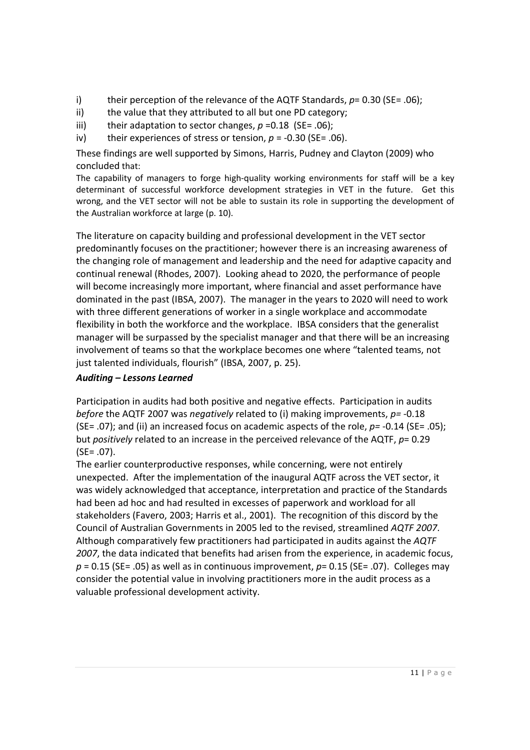- i) their perception of the relevance of the AQTF Standards,  $p= 0.30$  (SE= .06);
- ii) the value that they attributed to all but one PD category;
- iii) their adaptation to sector changes,  $p = 0.18$  (SE= .06);
- iv) their experiences of stress or tension,  $p = -0.30$  (SE= .06).

These findings are well supported by Simons, Harris, Pudney and Clayton (2009) who concluded that:

The capability of managers to forge high-quality working environments for staff will be a key determinant of successful workforce development strategies in VET in the future. Get this wrong, and the VET sector will not be able to sustain its role in supporting the development of the Australian workforce at large (p. 10).

The literature on capacity building and professional development in the VET sector predominantly focuses on the practitioner; however there is an increasing awareness of the changing role of management and leadership and the need for adaptive capacity and continual renewal (Rhodes, 2007). Looking ahead to 2020, the performance of people will become increasingly more important, where financial and asset performance have dominated in the past (IBSA, 2007). The manager in the years to 2020 will need to work with three different generations of worker in a single workplace and accommodate flexibility in both the workforce and the workplace. IBSA considers that the generalist manager will be surpassed by the specialist manager and that there will be an increasing involvement of teams so that the workplace becomes one where "talented teams, not just talented individuals, flourish" (IBSA, 2007, p. 25).

# Auditing – Lessons Learned

Participation in audits had both positive and negative effects. Participation in audits before the AQTF 2007 was negatively related to (i) making improvements,  $p = -0.18$ (SE= .07); and (ii) an increased focus on academic aspects of the role,  $p = -0.14$  (SE= .05); but *positively* related to an increase in the perceived relevance of the AQTF,  $p = 0.29$  $(SE=.07)$ .

The earlier counterproductive responses, while concerning, were not entirely unexpected. After the implementation of the inaugural AQTF across the VET sector, it was widely acknowledged that acceptance, interpretation and practice of the Standards had been ad hoc and had resulted in excesses of paperwork and workload for all stakeholders (Favero, 2003; Harris et al., 2001). The recognition of this discord by the Council of Australian Governments in 2005 led to the revised, streamlined AQTF 2007. Although comparatively few practitioners had participated in audits against the AQTF 2007, the data indicated that benefits had arisen from the experience, in academic focus,  $p = 0.15$  (SE= .05) as well as in continuous improvement,  $p = 0.15$  (SE= .07). Colleges may consider the potential value in involving practitioners more in the audit process as a valuable professional development activity.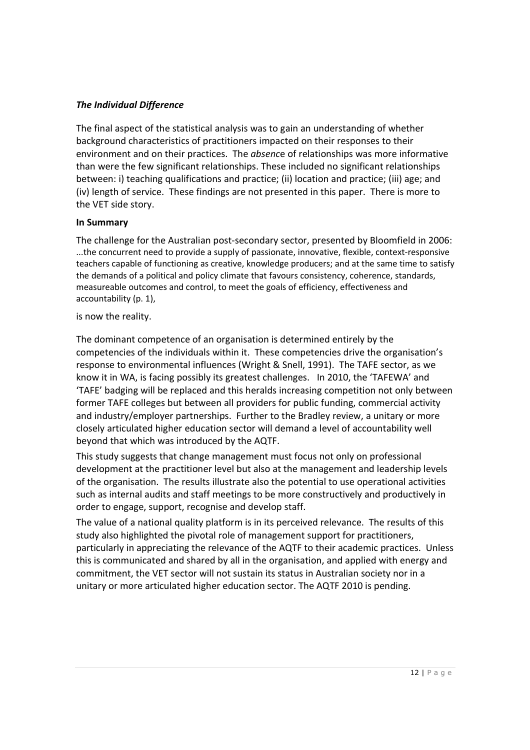## The Individual Difference

The final aspect of the statistical analysis was to gain an understanding of whether background characteristics of practitioners impacted on their responses to their environment and on their practices. The *absence* of relationships was more informative than were the few significant relationships. These included no significant relationships between: i) teaching qualifications and practice; (ii) location and practice; (iii) age; and (iv) length of service. These findings are not presented in this paper. There is more to the VET side story.

### In Summary

The challenge for the Australian post-secondary sector, presented by Bloomfield in 2006: ...the concurrent need to provide a supply of passionate, innovative, flexible, context-responsive teachers capable of functioning as creative, knowledge producers; and at the same time to satisfy the demands of a political and policy climate that favours consistency, coherence, standards, measureable outcomes and control, to meet the goals of efficiency, effectiveness and accountability (p. 1),

### is now the reality.

The dominant competence of an organisation is determined entirely by the competencies of the individuals within it. These competencies drive the organisation's response to environmental influences (Wright & Snell, 1991). The TAFE sector, as we know it in WA, is facing possibly its greatest challenges. In 2010, the 'TAFEWA' and 'TAFE' badging will be replaced and this heralds increasing competition not only between former TAFE colleges but between all providers for public funding, commercial activity and industry/employer partnerships. Further to the Bradley review, a unitary or more closely articulated higher education sector will demand a level of accountability well beyond that which was introduced by the AQTF.

This study suggests that change management must focus not only on professional development at the practitioner level but also at the management and leadership levels of the organisation. The results illustrate also the potential to use operational activities such as internal audits and staff meetings to be more constructively and productively in order to engage, support, recognise and develop staff.

The value of a national quality platform is in its perceived relevance. The results of this study also highlighted the pivotal role of management support for practitioners, particularly in appreciating the relevance of the AQTF to their academic practices. Unless this is communicated and shared by all in the organisation, and applied with energy and commitment, the VET sector will not sustain its status in Australian society nor in a unitary or more articulated higher education sector. The AQTF 2010 is pending.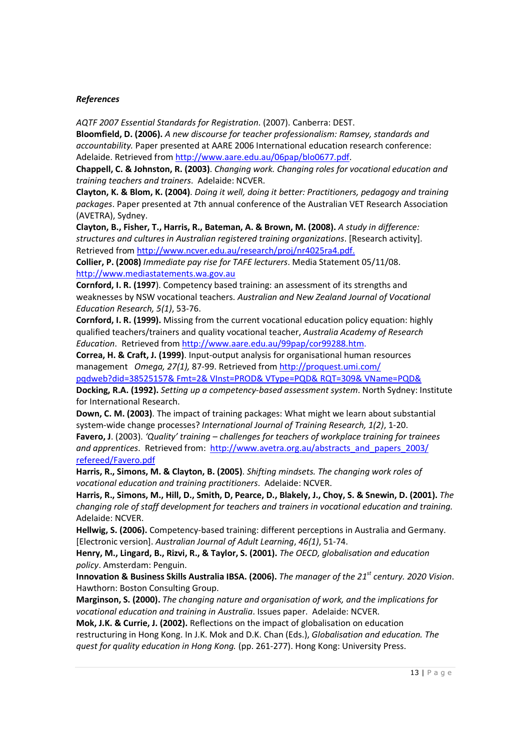#### References

AQTF 2007 Essential Standards for Registration. (2007). Canberra: DEST.

Bloomfield, D. (2006). A new discourse for teacher professionalism: Ramsey, standards and accountability. Paper presented at AARE 2006 International education research conference: Adelaide. Retrieved from http://www.aare.edu.au/06pap/blo0677.pdf.

Chappell, C. & Johnston, R. (2003). Changing work. Changing roles for vocational education and training teachers and trainers. Adelaide: NCVER.

Clayton, K. & Blom, K. (2004). Doing it well, doing it better: Practitioners, pedagogy and training packages. Paper presented at 7th annual conference of the Australian VET Research Association (AVETRA), Sydney.

Clayton, B., Fisher, T., Harris, R., Bateman, A. & Brown, M. (2008). A study in difference: structures and cultures in Australian registered training organizations. [Research activity]. Retrieved from http://www.ncver.edu.au/research/proj/nr4025ra4.pdf.

Collier, P. (2008) Immediate pay rise for TAFE lecturers. Media Statement 05/11/08. http://www.mediastatements.wa.gov.au

Cornford, I. R. (1997). Competency based training: an assessment of its strengths and weaknesses by NSW vocational teachers. Australian and New Zealand Journal of Vocational Education Research, 5(1), 53-76.

Cornford, I. R. (1999). Missing from the current vocational education policy equation: highly qualified teachers/trainers and quality vocational teacher, Australia Academy of Research Education. Retrieved from http://www.aare.edu.au/99pap/cor99288.htm.

Correa, H. & Craft, J. (1999). Input-output analysis for organisational human resources management. Omega, 27(1), 87-99. Retrieved from http://proquest.umi.com/

pqdweb?did=38525157& Fmt=2& VInst=PROD& VType=PQD& RQT=309& VName=PQD&

Docking, R.A. (1992). Setting up a competency-based assessment system. North Sydney: Institute for International Research.

Down, C. M. (2003). The impact of training packages: What might we learn about substantial system-wide change processes? International Journal of Training Research, 1(2), 1-20. Favero, J. (2003). 'Quality' training – challenges for teachers of workplace training for trainees

and apprentices. Retrieved from: http://www.avetra.org.au/abstracts\_and\_papers\_2003/ refereed/Favero.pdf

Harris, R., Simons, M. & Clayton, B. (2005). Shifting mindsets. The changing work roles of vocational education and training practitioners. Adelaide: NCVER.

Harris, R., Simons, M., Hill, D., Smith, D, Pearce, D., Blakely, J., Choy, S. & Snewin, D. (2001). The changing role of staff development for teachers and trainers in vocational education and training. Adelaide: NCVER.

Hellwig, S. (2006). Competency-based training: different perceptions in Australia and Germany. [Electronic version]. Australian Journal of Adult Learning, 46(1), 51-74.

Henry, M., Lingard, B., Rizvi, R., & Taylor, S. (2001). The OECD, globalisation and education policy. Amsterdam: Penguin.

Innovation & Business Skills Australia IBSA. (2006). The manager of the  $21<sup>st</sup>$  century. 2020 Vision. Hawthorn: Boston Consulting Group.

Marginson, S. (2000). The changing nature and organisation of work, and the implications for vocational education and training in Australia. Issues paper. Adelaide: NCVER.

Mok, J.K. & Currie, J. (2002). Reflections on the impact of globalisation on education restructuring in Hong Kong. In J.K. Mok and D.K. Chan (Eds.), Globalisation and education. The quest for quality education in Hong Kong. (pp. 261-277). Hong Kong: University Press.